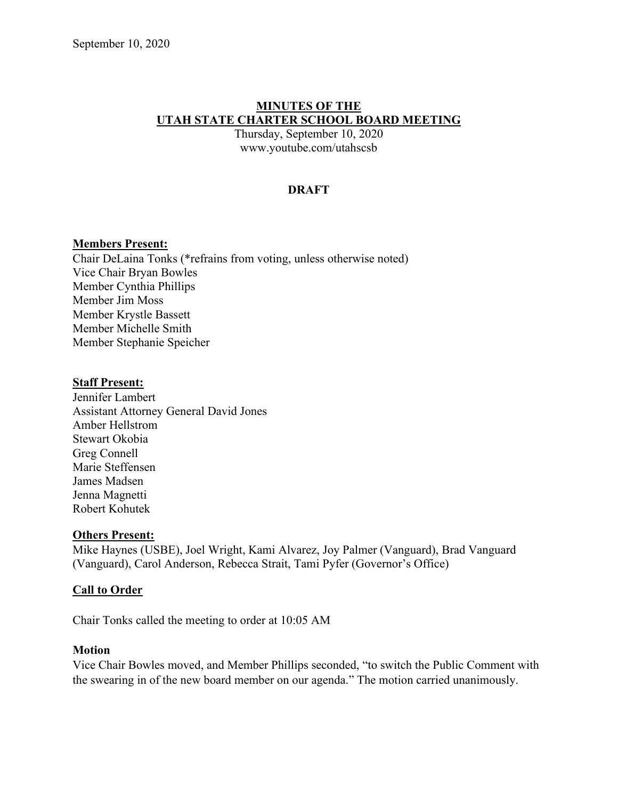## **MINUTES OF THE UTAH STATE CHARTER SCHOOL BOARD MEETING**

Thursday, September 10, 2020 www.youtube.com/utahscsb

## **DRAFT**

## **Members Present:**

Chair DeLaina Tonks (\*refrains from voting, unless otherwise noted) Vice Chair Bryan Bowles Member Cynthia Phillips Member Jim Moss Member Krystle Bassett Member Michelle Smith Member Stephanie Speicher

#### **Staff Present:**

Jennifer Lambert Assistant Attorney General David Jones Amber Hellstrom Stewart Okobia Greg Connell Marie Steffensen James Madsen Jenna Magnetti Robert Kohutek

#### **Others Present:**

Mike Haynes (USBE), Joel Wright, Kami Alvarez, Joy Palmer (Vanguard), Brad Vanguard (Vanguard), Carol Anderson, Rebecca Strait, Tami Pyfer (Governor's Office)

## **Call to Order**

Chair Tonks called the meeting to order at 10:05 AM

#### **Motion**

Vice Chair Bowles moved, and Member Phillips seconded, "to switch the Public Comment with the swearing in of the new board member on our agenda." The motion carried unanimously.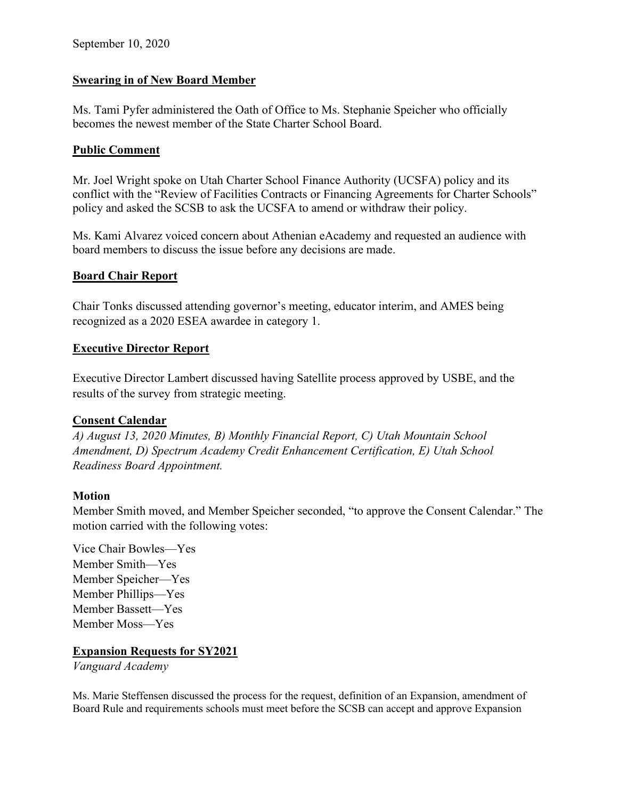## **Swearing in of New Board Member**

Ms. Tami Pyfer administered the Oath of Office to Ms. Stephanie Speicher who officially becomes the newest member of the State Charter School Board.

## **Public Comment**

Mr. Joel Wright spoke on Utah Charter School Finance Authority (UCSFA) policy and its conflict with the "Review of Facilities Contracts or Financing Agreements for Charter Schools" policy and asked the SCSB to ask the UCSFA to amend or withdraw their policy.

Ms. Kami Alvarez voiced concern about Athenian eAcademy and requested an audience with board members to discuss the issue before any decisions are made.

## **Board Chair Report**

Chair Tonks discussed attending governor's meeting, educator interim, and AMES being recognized as a 2020 ESEA awardee in category 1.

## **Executive Director Report**

Executive Director Lambert discussed having Satellite process approved by USBE, and the results of the survey from strategic meeting.

## **Consent Calendar**

*A) August 13, 2020 Minutes, B) Monthly Financial Report, C) Utah Mountain School Amendment, D) Spectrum Academy Credit Enhancement Certification, E) Utah School Readiness Board Appointment.*

## **Motion**

Member Smith moved, and Member Speicher seconded, "to approve the Consent Calendar." The motion carried with the following votes:

Vice Chair Bowles––Yes Member Smith––Yes Member Speicher––Yes Member Phillips––Yes Member Bassett––Yes Member Moss––Yes

## **Expansion Requests for SY2021**

*Vanguard Academy*

Ms. Marie Steffensen discussed the process for the request, definition of an Expansion, amendment of Board Rule and requirements schools must meet before the SCSB can accept and approve Expansion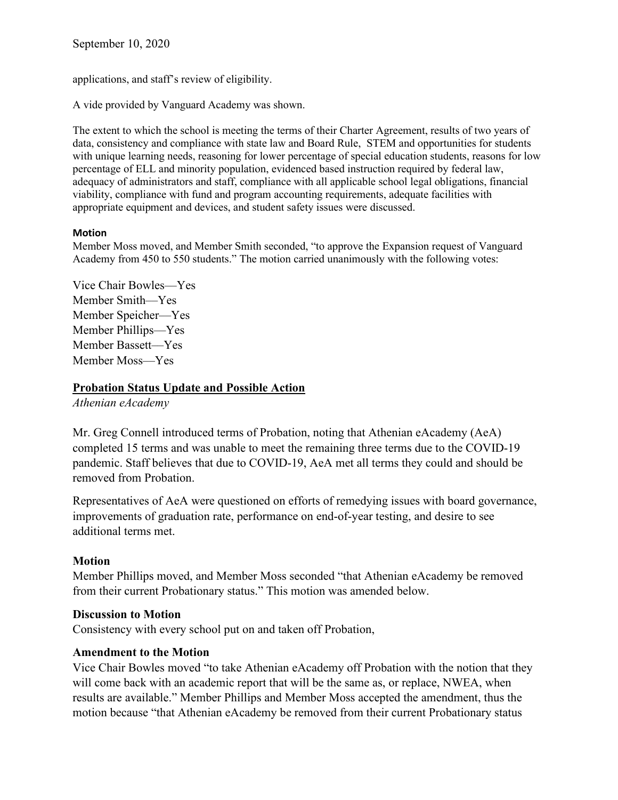September 10, 2020

applications, and staff's review of eligibility.

A vide provided by Vanguard Academy was shown.

The extent to which the school is meeting the terms of their Charter Agreement, results of two years of data, consistency and compliance with state law and Board Rule, STEM and opportunities for students with unique learning needs, reasoning for lower percentage of special education students, reasons for low percentage of ELL and minority population, evidenced based instruction required by federal law, adequacy of administrators and staff, compliance with all applicable school legal obligations, financial viability, compliance with fund and program accounting requirements, adequate facilities with appropriate equipment and devices, and student safety issues were discussed.

#### **Motion**

Member Moss moved, and Member Smith seconded, "to approve the Expansion request of Vanguard Academy from 450 to 550 students." The motion carried unanimously with the following votes:

Vice Chair Bowles––Yes Member Smith––Yes Member Speicher––Yes Member Phillips––Yes Member Bassett––Yes Member Moss––Yes

## **Probation Status Update and Possible Action**

*Athenian eAcademy*

Mr. Greg Connell introduced terms of Probation, noting that Athenian eAcademy (AeA) completed 15 terms and was unable to meet the remaining three terms due to the COVID-19 pandemic. Staff believes that due to COVID-19, AeA met all terms they could and should be removed from Probation.

Representatives of AeA were questioned on efforts of remedying issues with board governance, improvements of graduation rate, performance on end-of-year testing, and desire to see additional terms met.

## **Motion**

Member Phillips moved, and Member Moss seconded "that Athenian eAcademy be removed from their current Probationary status." This motion was amended below.

## **Discussion to Motion**

Consistency with every school put on and taken off Probation,

## **Amendment to the Motion**

Vice Chair Bowles moved "to take Athenian eAcademy off Probation with the notion that they will come back with an academic report that will be the same as, or replace, NWEA, when results are available." Member Phillips and Member Moss accepted the amendment, thus the motion because "that Athenian eAcademy be removed from their current Probationary status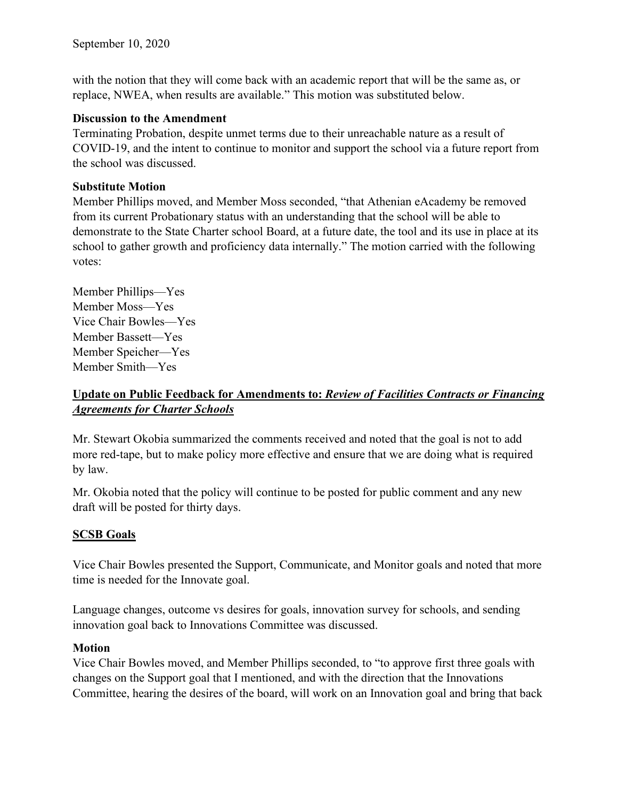with the notion that they will come back with an academic report that will be the same as, or replace, NWEA, when results are available." This motion was substituted below.

## **Discussion to the Amendment**

Terminating Probation, despite unmet terms due to their unreachable nature as a result of COVID-19, and the intent to continue to monitor and support the school via a future report from the school was discussed.

# **Substitute Motion**

Member Phillips moved, and Member Moss seconded, "that Athenian eAcademy be removed from its current Probationary status with an understanding that the school will be able to demonstrate to the State Charter school Board, at a future date, the tool and its use in place at its school to gather growth and proficiency data internally." The motion carried with the following votes:

Member Phillips––Yes Member Moss––Yes Vice Chair Bowles––Yes Member Bassett––Yes Member Speicher––Yes Member Smith––Yes

# **Update on Public Feedback for Amendments to:** *Review of Facilities Contracts or Financing Agreements for Charter Schools*

Mr. Stewart Okobia summarized the comments received and noted that the goal is not to add more red-tape, but to make policy more effective and ensure that we are doing what is required by law.

Mr. Okobia noted that the policy will continue to be posted for public comment and any new draft will be posted for thirty days.

# **SCSB Goals**

Vice Chair Bowles presented the Support, Communicate, and Monitor goals and noted that more time is needed for the Innovate goal.

Language changes, outcome vs desires for goals, innovation survey for schools, and sending innovation goal back to Innovations Committee was discussed.

# **Motion**

Vice Chair Bowles moved, and Member Phillips seconded, to "to approve first three goals with changes on the Support goal that I mentioned, and with the direction that the Innovations Committee, hearing the desires of the board, will work on an Innovation goal and bring that back